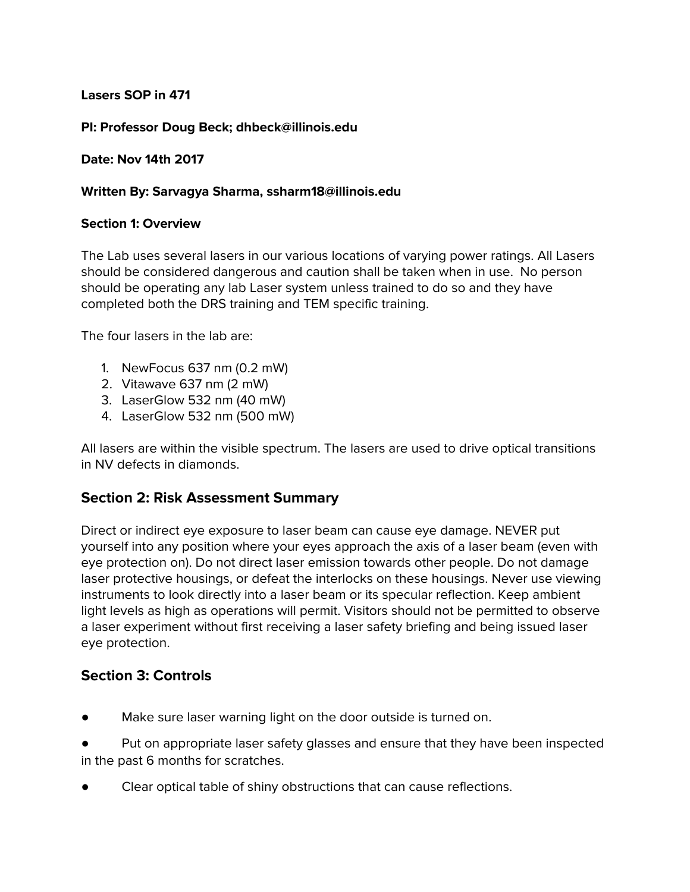**Lasers SOP in 471**

**PI: Professor Doug Beck; dhbeck@illinois.edu**

**Date: Nov 14th 2017**

#### **Written By: Sarvagya Sharma, ssharm18@illinois.edu**

#### **Section 1: Overview**

The Lab uses several lasers in our various locations of varying power ratings. All Lasers should be considered dangerous and caution shall be taken when in use. No person should be operating any lab Laser system unless trained to do so and they have completed both the DRS training and TEM specific training.

The four lasers in the lab are:

- 1. NewFocus 637 nm (0.2 mW)
- 2. Vitawave 637 nm (2 mW)
- 3. LaserGlow 532 nm (40 mW)
- 4. LaserGlow 532 nm (500 mW)

All lasers are within the visible spectrum. The lasers are used to drive optical transitions in NV defects in diamonds.

# **Section 2: Risk Assessment Summary**

Direct or indirect eye exposure to laser beam can cause eye damage. NEVER put yourself into any position where your eyes approach the axis of a laser beam (even with eye protection on). Do not direct laser emission towards other people. Do not damage laser protective housings, or defeat the interlocks on these housings. Never use viewing instruments to look directly into a laser beam or its specular reflection. Keep ambient light levels as high as operations will permit. Visitors should not be permitted to observe a laser experiment without first receiving a laser safety briefing and being issued laser eye protection.

# **Section 3: Controls**

Make sure laser warning light on the door outside is turned on.

Put on appropriate laser safety glasses and ensure that they have been inspected in the past 6 months for scratches.

Clear optical table of shiny obstructions that can cause reflections.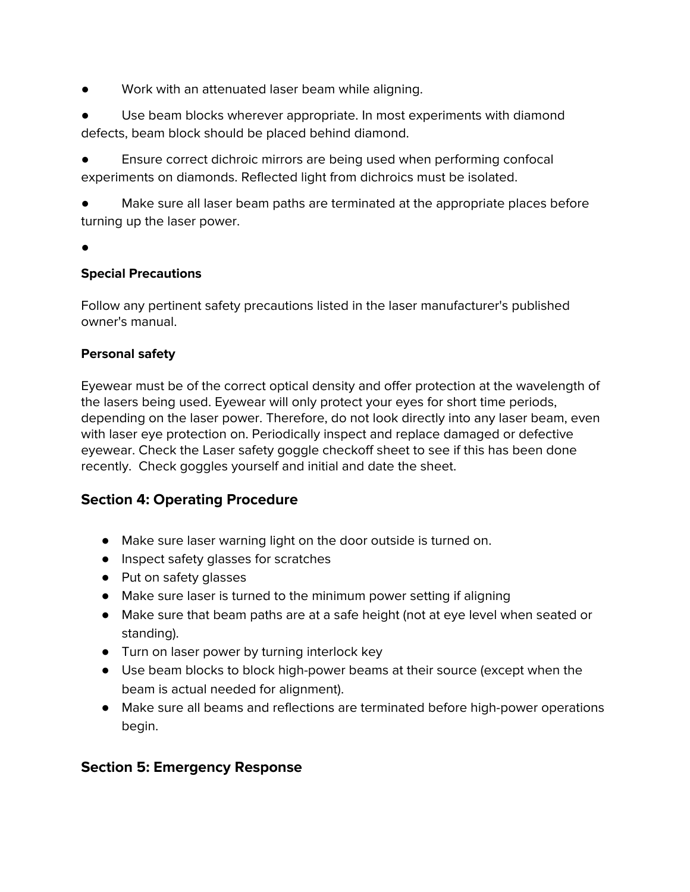Work with an attenuated laser beam while aligning.

Use beam blocks wherever appropriate. In most experiments with diamond defects, beam block should be placed behind diamond.

Ensure correct dichroic mirrors are being used when performing confocal experiments on diamonds. Reflected light from dichroics must be isolated.

Make sure all laser beam paths are terminated at the appropriate places before turning up the laser power.

●

# **Special Precautions**

Follow any pertinent safety precautions listed in the laser manufacturer's published owner's manual.

#### **Personal safety**

Eyewear must be of the correct optical density and offer protection at the wavelength of the lasers being used. Eyewear will only protect your eyes for short time periods, depending on the laser power. Therefore, do not look directly into any laser beam, even with laser eye protection on. Periodically inspect and replace damaged or defective eyewear. Check the Laser safety goggle checkoff sheet to see if this has been done recently. Check goggles yourself and initial and date the sheet.

# **Section 4: Operating Procedure**

- Make sure laser warning light on the door outside is turned on.
- Inspect safety glasses for scratches
- Put on safety glasses
- Make sure laser is turned to the minimum power setting if aligning
- Make sure that beam paths are at a safe height (not at eye level when seated or standing).
- Turn on laser power by turning interlock key
- Use beam blocks to block high-power beams at their source (except when the beam is actual needed for alignment).
- Make sure all beams and reflections are terminated before high-power operations begin.

# **Section 5: Emergency Response**